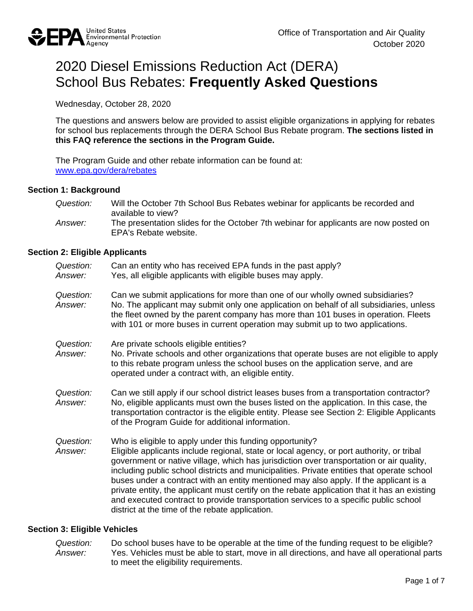

# 2020 Diesel Emissions Reduction Act (DERA) School Bus Rebates: **Frequently Asked Questions**

Wednesday, October 28, 2020

 The questions and answers below are provided to assist eligible organizations in applying for rebates for school bus replacements through the DERA School Bus Rebate program. **The sections listed in this FAQ reference the sections in the Program Guide.** 

The Program Guide and other rebate information can be found at: [www.epa.gov/dera/rebates](http://www.epa.gov/dera/rebates) 

#### **Section 1: Background**

*Question:* Will the October 7th School Bus Rebates webinar for applicants be recorded and available to view? *Answer:* The presentation slides for the October 7th webinar for applicants are now posted on EPA's Rebate website.

#### **Section 2: Eligible Applicants**

| Question:<br>Answer: | Can an entity who has received EPA funds in the past apply?<br>Yes, all eligible applicants with eligible buses may apply.                                                                                                                                                                                                                                                                                                                                                                                                                                                                                                                                                          |
|----------------------|-------------------------------------------------------------------------------------------------------------------------------------------------------------------------------------------------------------------------------------------------------------------------------------------------------------------------------------------------------------------------------------------------------------------------------------------------------------------------------------------------------------------------------------------------------------------------------------------------------------------------------------------------------------------------------------|
| Question:<br>Answer: | Can we submit applications for more than one of our wholly owned subsidiaries?<br>No. The applicant may submit only one application on behalf of all subsidiaries, unless<br>the fleet owned by the parent company has more than 101 buses in operation. Fleets<br>with 101 or more buses in current operation may submit up to two applications.                                                                                                                                                                                                                                                                                                                                   |
| Question:<br>Answer: | Are private schools eligible entities?<br>No. Private schools and other organizations that operate buses are not eligible to apply<br>to this rebate program unless the school buses on the application serve, and are<br>operated under a contract with, an eligible entity.                                                                                                                                                                                                                                                                                                                                                                                                       |
| Question:<br>Answer: | Can we still apply if our school district leases buses from a transportation contractor?<br>No, eligible applicants must own the buses listed on the application. In this case, the<br>transportation contractor is the eligible entity. Please see Section 2: Eligible Applicants<br>of the Program Guide for additional information.                                                                                                                                                                                                                                                                                                                                              |
| Question:<br>Answer: | Who is eligible to apply under this funding opportunity?<br>Eligible applicants include regional, state or local agency, or port authority, or tribal<br>government or native village, which has jurisdiction over transportation or air quality,<br>including public school districts and municipalities. Private entities that operate school<br>buses under a contract with an entity mentioned may also apply. If the applicant is a<br>private entity, the applicant must certify on the rebate application that it has an existing<br>and executed contract to provide transportation services to a specific public school<br>district at the time of the rebate application. |

#### **Section 3: Eligible Vehicles**

 *Answer:* Yes. Vehicles must be able to start, move in all directions, and have all operational parts *Question:* Do school buses have to be operable at the time of the funding request to be eligible?<br>Answer: Yes Vehicles must be able to start, move in all directions, and have all operational par to meet the eligibility requirements.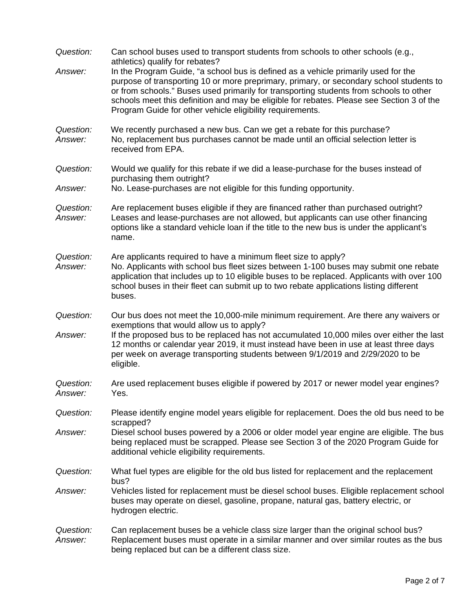| Question:                   | Can school buses used to transport students from schools to other schools (e.g.,<br>athletics) qualify for rebates?                                                                                                                                                                                                                                                                                                               |
|-----------------------------|-----------------------------------------------------------------------------------------------------------------------------------------------------------------------------------------------------------------------------------------------------------------------------------------------------------------------------------------------------------------------------------------------------------------------------------|
| Answer:                     | In the Program Guide, "a school bus is defined as a vehicle primarily used for the<br>purpose of transporting 10 or more preprimary, primary, or secondary school students to<br>or from schools." Buses used primarily for transporting students from schools to other<br>schools meet this definition and may be eligible for rebates. Please see Section 3 of the<br>Program Guide for other vehicle eligibility requirements. |
| Question:<br>Answer:        | We recently purchased a new bus. Can we get a rebate for this purchase?<br>No, replacement bus purchases cannot be made until an official selection letter is<br>received from EPA.                                                                                                                                                                                                                                               |
| Question:                   | Would we qualify for this rebate if we did a lease-purchase for the buses instead of<br>purchasing them outright?                                                                                                                                                                                                                                                                                                                 |
| Answer:                     | No. Lease-purchases are not eligible for this funding opportunity.                                                                                                                                                                                                                                                                                                                                                                |
| Question:<br>Answer:        | Are replacement buses eligible if they are financed rather than purchased outright?<br>Leases and lease-purchases are not allowed, but applicants can use other financing<br>options like a standard vehicle loan if the title to the new bus is under the applicant's<br>name.                                                                                                                                                   |
| Question:<br>Answer:        | Are applicants required to have a minimum fleet size to apply?<br>No. Applicants with school bus fleet sizes between 1-100 buses may submit one rebate<br>application that includes up to 10 eligible buses to be replaced. Applicants with over 100<br>school buses in their fleet can submit up to two rebate applications listing different<br>buses.                                                                          |
| Question:<br>Answer:        | Our bus does not meet the 10,000-mile minimum requirement. Are there any waivers or<br>exemptions that would allow us to apply?<br>If the proposed bus to be replaced has not accumulated 10,000 miles over either the last<br>12 months or calendar year 2019, it must instead have been in use at least three days<br>per week on average transporting students between 9/1/2019 and 2/29/2020 to be<br>eligible.               |
| Question:<br><i>Answer:</i> | Are used replacement buses eligible if powered by 2017 or newer model year engines?<br>Yes.                                                                                                                                                                                                                                                                                                                                       |
| Question:                   | Please identify engine model years eligible for replacement. Does the old bus need to be<br>scrapped?                                                                                                                                                                                                                                                                                                                             |
| Answer:                     | Diesel school buses powered by a 2006 or older model year engine are eligible. The bus<br>being replaced must be scrapped. Please see Section 3 of the 2020 Program Guide for<br>additional vehicle eligibility requirements.                                                                                                                                                                                                     |
| Question:                   | What fuel types are eligible for the old bus listed for replacement and the replacement<br>bus?                                                                                                                                                                                                                                                                                                                                   |
| Answer:                     | Vehicles listed for replacement must be diesel school buses. Eligible replacement school<br>buses may operate on diesel, gasoline, propane, natural gas, battery electric, or<br>hydrogen electric.                                                                                                                                                                                                                               |
| Question:<br>Answer:        | Can replacement buses be a vehicle class size larger than the original school bus?<br>Replacement buses must operate in a similar manner and over similar routes as the bus<br>being replaced but can be a different class size.                                                                                                                                                                                                  |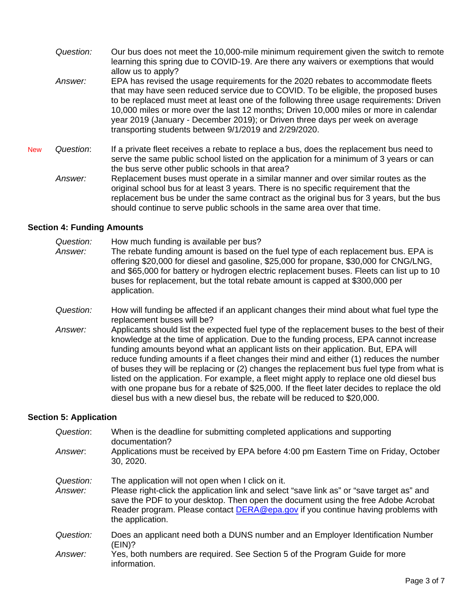- *Question:* Our bus does not meet the 10,000-mile minimum requirement given the switch to remote learning this spring due to COVID-19. Are there any waivers or exemptions that would allow us to apply?
- *Answer:* EPA has revised the usage requirements for the 2020 rebates to accommodate fleets that may have seen reduced service due to COVID. To be eligible, the proposed buses to be replaced must meet at least one of the following three usage requirements: Driven 10,000 miles or more over the last 12 months; Driven 10,000 miles or more in calendar year 2019 (January - December 2019); or Driven three days per week on average transporting students between 9/1/2019 and 2/29/2020.
- **New**  the bus serve other public schools in that area? New *Question*: If a private fleet receives a rebate to replace a bus, does the replacement bus need to serve the same public school listed on the application for a minimum of 3 years or can
	- *Answer:* Replacement buses must operate in a similar manner and over similar routes as the original school bus for at least 3 years. There is no specific requirement that the replacement bus be under the same contract as the original bus for 3 years, but the bus should continue to serve public schools in the same area over that time.

### **Section 4: Funding Amounts**

- *Answer:* The rebate funding amount is based on the fuel type of each replacement bus. EPA is *Question:* How much funding is available per bus? offering \$20,000 for diesel and gasoline, \$25,000 for propane, \$30,000 for CNG/LNG, and \$65,000 for battery or hydrogen electric replacement buses. Fleets can list up to 10 buses for replacement, but the total rebate amount is capped at \$300,000 per application.
- *Question:* How will funding be affected if an applicant changes their mind about what fuel type the replacement buses will be?
- listed on the application. For example, a fleet might apply to replace one old diesel bus *Answer:* Applicants should list the expected fuel type of the replacement buses to the best of their knowledge at the time of application. Due to the funding process, EPA cannot increase funding amounts beyond what an applicant lists on their application. But, EPA will reduce funding amounts if a fleet changes their mind and either (1) reduces the number of buses they will be replacing or (2) changes the replacement bus fuel type from what is with one propane bus for a rebate of \$25,000. If the fleet later decides to replace the old diesel bus with a new diesel bus, the rebate will be reduced to \$20,000.

### **Section 5: Application**

| Question:            | When is the deadline for submitting completed applications and supporting<br>documentation?                                                                                                                                                                                                                                                        |
|----------------------|----------------------------------------------------------------------------------------------------------------------------------------------------------------------------------------------------------------------------------------------------------------------------------------------------------------------------------------------------|
| Answer.              | Applications must be received by EPA before 4:00 pm Eastern Time on Friday, October<br>30, 2020.                                                                                                                                                                                                                                                   |
| Question:<br>Answer: | The application will not open when I click on it.<br>Please right-click the application link and select "save link as" or "save target as" and<br>save the PDF to your desktop. Then open the document using the free Adobe Acrobat<br>Reader program. Please contact <b>DERA@epa.gov</b> if you continue having problems with<br>the application. |
| Question:            | Does an applicant need both a DUNS number and an Employer Identification Number<br>(EIN)?                                                                                                                                                                                                                                                          |
| Answer:              | Yes, both numbers are required. See Section 5 of the Program Guide for more<br>information.                                                                                                                                                                                                                                                        |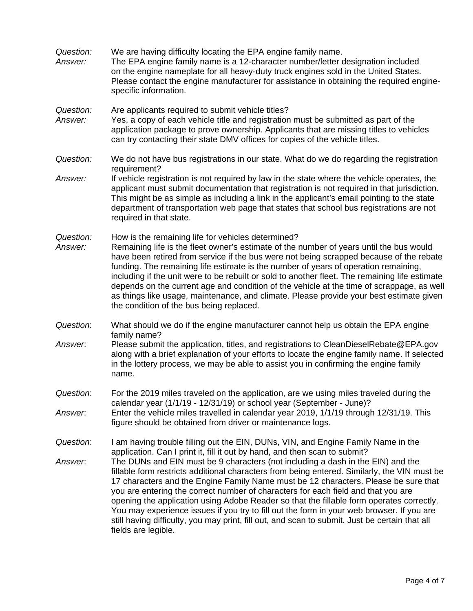- *Question:* We are having difficulty locating the EPA engine family name.
- *Answer:* The EPA engine family name is a 12-character number/letter designation included on the engine nameplate for all heavy-duty truck engines sold in the United States. Please contact the engine manufacturer for assistance in obtaining the required enginespecific information.
- *Question:* Are applicants required to submit vehicle titles?
- *Answer:* Yes, a copy of each vehicle title and registration must be submitted as part of the application package to prove ownership. Applicants that are missing titles to vehicles can try contacting their state DMV offices for copies of the vehicle titles.
- *Question:* We do not have bus registrations in our state. What do we do regarding the registration requirement?
- *Answer:* If vehicle registration is not required by law in the state where the vehicle operates, the applicant must submit documentation that registration is not required in that jurisdiction. This might be as simple as including a link in the applicant's email pointing to the state department of transportation web page that states that school bus registrations are not required in that state.
- *Question:* How is the remaining life for vehicles determined?
- depends on the current age and condition of the vehicle at the time of scrappage, as well *Answer:* Remaining life is the fleet owner's estimate of the number of years until the bus would have been retired from service if the bus were not being scrapped because of the rebate funding. The remaining life estimate is the number of years of operation remaining, including if the unit were to be rebuilt or sold to another fleet. The remaining life estimate as things like usage, maintenance, and climate. Please provide your best estimate given the condition of the bus being replaced.
- *Question*: What should we do if the engine manufacturer cannot help us obtain the EPA engine family name?
- *Answer*: Please submit the application, titles, and registrations to [CleanDieselRebate@EPA.gov](mailto:CleanDieselRebate@EPA.gov) along with a brief explanation of your efforts to locate the engine family name. If selected in the lottery process, we may be able to assist you in confirming the engine family name.
- *Question*: For the 2019 miles traveled on the application, are we using miles traveled during the calendar year (1/1/19 - 12/31/19) or school year (September - June)? *Answer*: Enter the vehicle miles travelled in calendar year 2019, 1/1/19 through 12/31/19. This figure should be obtained from driver or maintenance logs.
- *Question*: I am having trouble filling out the EIN, DUNs, VIN, and Engine Family Name in the application. Can I print it, fill it out by hand, and then scan to submit? *Answer*: The DUNs and EIN must be 9 characters (not including a dash in the EIN) and the fillable form restricts additional characters from being entered. Similarly, the VIN must be 17 characters and the Engine Family Name must be 12 characters. Please be sure that you are entering the correct number of characters for each field and that you are opening the application using Adobe Reader so that the fillable form operates correctly. You may experience issues if you try to fill out the form in your web browser. If you are still having difficulty, you may print, fill out, and scan to submit. Just be certain that all fields are legible.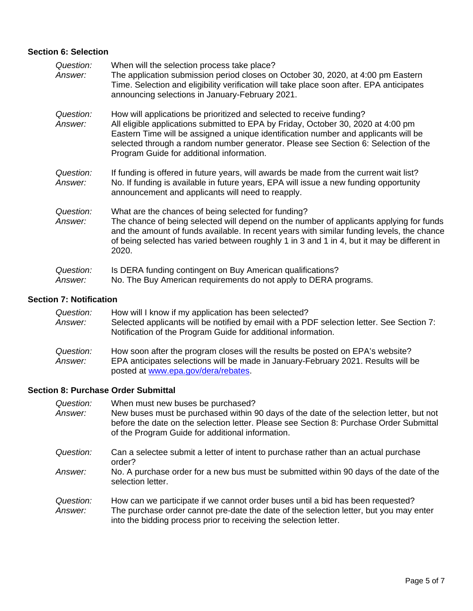### **Section 6: Selection**

| Question:<br>Answer: | When will the selection process take place?<br>The application submission period closes on October 30, 2020, at 4:00 pm Eastern<br>Time. Selection and eligibility verification will take place soon after. EPA anticipates<br>announcing selections in January-February 2021.                                                                                                       |
|----------------------|--------------------------------------------------------------------------------------------------------------------------------------------------------------------------------------------------------------------------------------------------------------------------------------------------------------------------------------------------------------------------------------|
| Question:<br>Answer: | How will applications be prioritized and selected to receive funding?<br>All eligible applications submitted to EPA by Friday, October 30, 2020 at 4:00 pm<br>Eastern Time will be assigned a unique identification number and applicants will be<br>selected through a random number generator. Please see Section 6: Selection of the<br>Program Guide for additional information. |
| Question:<br>Answer: | If funding is offered in future years, will awards be made from the current wait list?<br>No. If funding is available in future years, EPA will issue a new funding opportunity<br>announcement and applicants will need to reapply.                                                                                                                                                 |
| Question:<br>Answer: | What are the chances of being selected for funding?<br>The chance of being selected will depend on the number of applicants applying for funds<br>and the amount of funds available. In recent years with similar funding levels, the chance<br>of being selected has varied between roughly 1 in 3 and 1 in 4, but it may be different in<br>2020.                                  |
| Question:<br>Answer: | Is DERA funding contingent on Buy American qualifications?<br>No. The Buy American requirements do not apply to DERA programs.                                                                                                                                                                                                                                                       |

# **Section 7: Notification**

| Question:<br>Answer: | How will I know if my application has been selected?<br>Selected applicants will be notified by email with a PDF selection letter. See Section 7:<br>Notification of the Program Guide for additional information. |
|----------------------|--------------------------------------------------------------------------------------------------------------------------------------------------------------------------------------------------------------------|
| Question:<br>Answer: | How soon after the program closes will the results be posted on EPA's website?<br>EPA anticipates selections will be made in January-February 2021. Results will be<br>posted at www.epa.gov/dera/rebates.         |

### **Section 8: Purchase Order Submittal**

| Question:<br>Answer: | When must new buses be purchased?<br>New buses must be purchased within 90 days of the date of the selection letter, but not<br>before the date on the selection letter. Please see Section 8: Purchase Order Submittal<br>of the Program Guide for additional information. |
|----------------------|-----------------------------------------------------------------------------------------------------------------------------------------------------------------------------------------------------------------------------------------------------------------------------|
| Question:            | Can a selectee submit a letter of intent to purchase rather than an actual purchase<br>order?                                                                                                                                                                               |
| Answer:              | No. A purchase order for a new bus must be submitted within 90 days of the date of the<br>selection letter.                                                                                                                                                                 |
| Question:<br>Answer: | How can we participate if we cannot order buses until a bid has been requested?<br>The purchase order cannot pre-date the date of the selection letter, but you may enter<br>into the bidding process prior to receiving the selection letter.                              |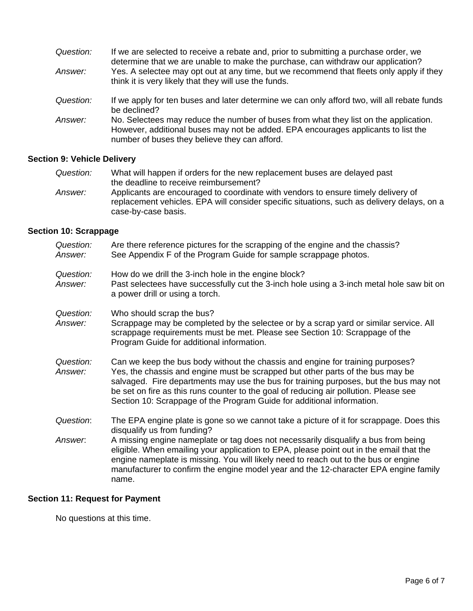| Question:      | If we are selected to receive a rebate and, prior to submitting a purchase order, we<br>determine that we are unable to make the purchase, can withdraw our application?                                                   |
|----------------|----------------------------------------------------------------------------------------------------------------------------------------------------------------------------------------------------------------------------|
| Answer:        | Yes. A selectee may opt out at any time, but we recommend that fleets only apply if they<br>think it is very likely that they will use the funds.                                                                          |
| Question:      | If we apply for ten buses and later determine we can only afford two, will all rebate funds<br>be declined?                                                                                                                |
| <i>Answer:</i> | No. Selectees may reduce the number of buses from what they list on the application.<br>However, additional buses may not be added. EPA encourages applicants to list the<br>number of buses they believe they can afford. |

# **Section 9: Vehicle Delivery**

| Question: | What will happen if orders for the new replacement buses are delayed past                                                                                                       |
|-----------|---------------------------------------------------------------------------------------------------------------------------------------------------------------------------------|
|           | the deadline to receive reimbursement?                                                                                                                                          |
| Answer:   | Applicants are encouraged to coordinate with vendors to ensure timely delivery of<br>replacement vehicles. EPA will consider specific situations, such as delivery delays, on a |
|           | case-by-case basis.                                                                                                                                                             |

# **Section 10: Scrappage**

| Are there reference pictures for the scrapping of the engine and the chassis?<br>See Appendix F of the Program Guide for sample scrappage photos.                                                                                                                                                                                                                                                                            |
|------------------------------------------------------------------------------------------------------------------------------------------------------------------------------------------------------------------------------------------------------------------------------------------------------------------------------------------------------------------------------------------------------------------------------|
| How do we drill the 3-inch hole in the engine block?<br>Past selectees have successfully cut the 3-inch hole using a 3-inch metal hole saw bit on<br>a power drill or using a torch.                                                                                                                                                                                                                                         |
| Who should scrap the bus?<br>Scrappage may be completed by the selectee or by a scrap yard or similar service. All<br>scrappage requirements must be met. Please see Section 10: Scrappage of the<br>Program Guide for additional information.                                                                                                                                                                               |
| Can we keep the bus body without the chassis and engine for training purposes?<br>Yes, the chassis and engine must be scrapped but other parts of the bus may be<br>salvaged. Fire departments may use the bus for training purposes, but the bus may not<br>be set on fire as this runs counter to the goal of reducing air pollution. Please see<br>Section 10: Scrappage of the Program Guide for additional information. |
| The EPA engine plate is gone so we cannot take a picture of it for scrappage. Does this<br>disqualify us from funding?                                                                                                                                                                                                                                                                                                       |
| A missing engine nameplate or tag does not necessarily disqualify a bus from being<br>eligible. When emailing your application to EPA, please point out in the email that the<br>engine nameplate is missing. You will likely need to reach out to the bus or engine<br>manufacturer to confirm the engine model year and the 12-character EPA engine family<br>name.                                                        |
|                                                                                                                                                                                                                                                                                                                                                                                                                              |

# **Section 11: Request for Payment**

No questions at this time.